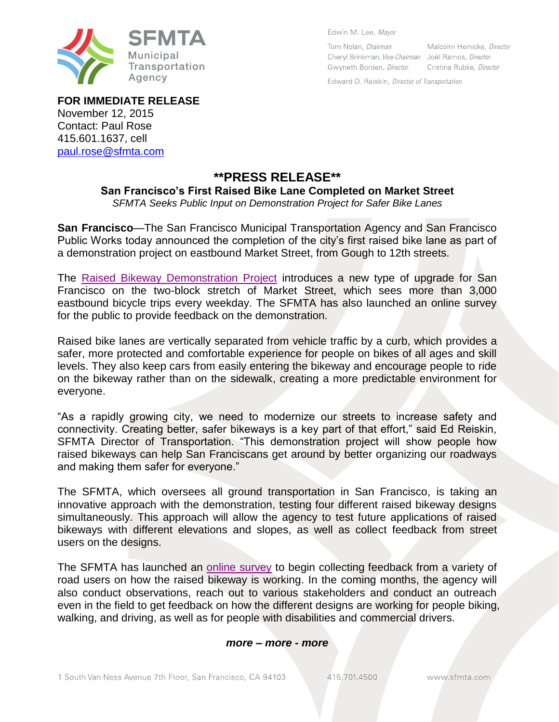

Edwin M. Lee, Mayor

Tom Nolan, Chairman Cheryl Brinkman, Vice-Chairman Joél Ramos, Director Gwyneth Borden, Director

Malcolm Heinicke, Director Cristina Rubke, Director

Edward D. Reiskin, Director of Transportation

**FOR IMMEDIATE RELEASE** November 12, 2015 Contact: Paul Rose 415.601.1637, cell [paul.rose@sfmta.com](mailto:paul.rose@sfmta.com)

## **\*\*PRESS RELEASE\*\***

## **San Francisco's First Raised Bike Lane Completed on Market Street**

*SFMTA Seeks Public Input on Demonstration Project for Safer Bike Lanes*

**San Francisco**—The San Francisco Municipal Transportation Agency and San Francisco Public Works today announced the completion of the city's first raised bike lane as part of a demonstration project on eastbound Market Street, from Gough to 12th streets.

The [Raised Bikeway Demonstration Project](https://www.sfmta.com/projects-planning/projects/raised-bikeway-demonstration-project) introduces a new type of upgrade for San Francisco on the two-block stretch of Market Street, which sees more than 3,000 eastbound bicycle trips every weekday. The SFMTA has also launched an online survey for the public to provide feedback on the demonstration.

Raised bike lanes are vertically separated from vehicle traffic by a curb, which provides a safer, more protected and comfortable experience for people on bikes of all ages and skill levels. They also keep cars from easily entering the bikeway and encourage people to ride on the bikeway rather than on the sidewalk, creating a more predictable environment for everyone.

"As a rapidly growing city, we need to modernize our streets to increase safety and connectivity. Creating better, safer bikeways is a key part of that effort," said Ed Reiskin, SFMTA Director of Transportation. "This demonstration project will show people how raised bikeways can help San Franciscans get around by better organizing our roadways and making them safer for everyone."

The SFMTA, which oversees all ground transportation in San Francisco, is taking an innovative approach with the demonstration, testing four different raised bikeway designs simultaneously. This approach will allow the agency to test future applications of raised bikeways with different elevations and slopes, as well as collect feedback from street users on the designs.

The SFMTA has launched an [online survey](http://www.surveygizmo.com/s3/2322210/c17b00fc308f) to begin collecting feedback from a variety of road users on how the raised bikeway is working. In the coming months, the agency will also conduct observations, reach out to various stakeholders and conduct an outreach even in the field to get feedback on how the different designs are working for people biking, walking, and driving, as well as for people with disabilities and commercial drivers.

## *more – more - more*